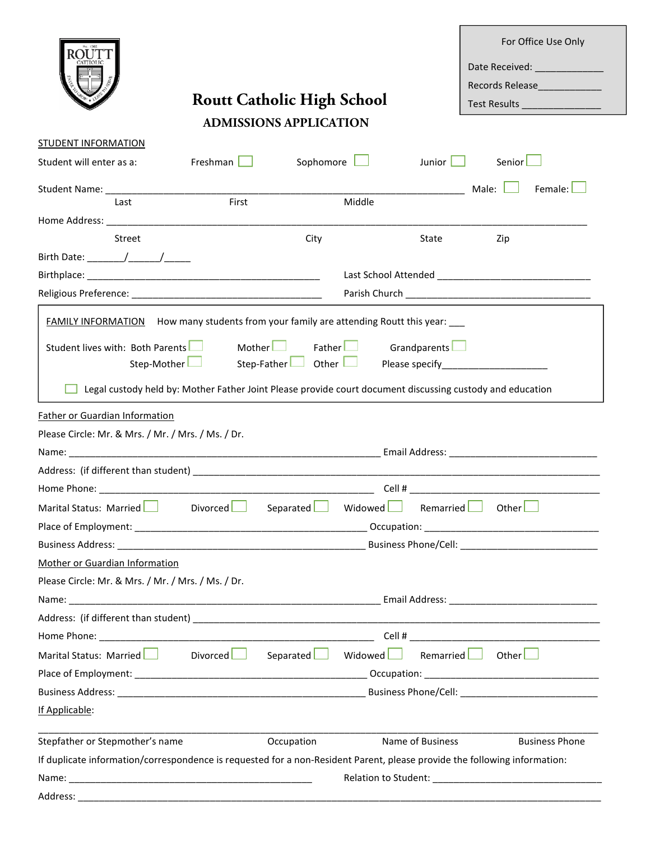|                                                                                                                                                                                                                                |                 |                                                                                                           |                  | For Office Use Only                      |
|--------------------------------------------------------------------------------------------------------------------------------------------------------------------------------------------------------------------------------|-----------------|-----------------------------------------------------------------------------------------------------------|------------------|------------------------------------------|
|                                                                                                                                                                                                                                |                 |                                                                                                           |                  | Date Received: ______________            |
|                                                                                                                                                                                                                                |                 |                                                                                                           |                  |                                          |
|                                                                                                                                                                                                                                |                 | <b>Routt Catholic High School</b>                                                                         |                  | Test Results <b>All Property Results</b> |
|                                                                                                                                                                                                                                |                 | <b>ADMISSIONS APPLICATION</b>                                                                             |                  |                                          |
| <b>STUDENT INFORMATION</b>                                                                                                                                                                                                     |                 |                                                                                                           |                  |                                          |
| Student will enter as a:                                                                                                                                                                                                       | Freshman $\Box$ | Sophomore                                                                                                 | Junior <b>L</b>  | Senior <sup>L</sup>                      |
|                                                                                                                                                                                                                                |                 |                                                                                                           |                  | Female: L<br>Male: $\Box$                |
| Last                                                                                                                                                                                                                           | First           | Middle                                                                                                    |                  |                                          |
|                                                                                                                                                                                                                                |                 |                                                                                                           |                  |                                          |
| Street                                                                                                                                                                                                                         |                 | City                                                                                                      | State            | Zip                                      |
|                                                                                                                                                                                                                                |                 |                                                                                                           |                  |                                          |
|                                                                                                                                                                                                                                |                 |                                                                                                           |                  |                                          |
|                                                                                                                                                                                                                                |                 |                                                                                                           |                  |                                          |
|                                                                                                                                                                                                                                |                 | FAMILY INFORMATION How many students from your family are attending Routt this year:                      |                  |                                          |
|                                                                                                                                                                                                                                |                 |                                                                                                           |                  |                                          |
| Student lives with: Both Parents                                                                                                                                                                                               | Mother $\Box$   | Father                                                                                                    | Grandparents     |                                          |
| Step-Mother                                                                                                                                                                                                                    |                 | Step-Father $\Box$ Other $\Box$                                                                           |                  |                                          |
|                                                                                                                                                                                                                                |                 | Legal custody held by: Mother Father Joint Please provide court document discussing custody and education |                  |                                          |
| <b>Father or Guardian Information</b>                                                                                                                                                                                          |                 |                                                                                                           |                  |                                          |
| Please Circle: Mr. & Mrs. / Mr. / Mrs. / Ms. / Dr.                                                                                                                                                                             |                 |                                                                                                           |                  |                                          |
|                                                                                                                                                                                                                                |                 |                                                                                                           |                  |                                          |
| Address: (if different than student) and the state of the state of the state of the state of the state of the state of the state of the state of the state of the state of the state of the state of the state of the state of |                 |                                                                                                           |                  |                                          |
|                                                                                                                                                                                                                                |                 |                                                                                                           |                  | Cell $#$ $\qquad \qquad$                 |
| Marital Status: Married Divorced Separated Widowed                                                                                                                                                                             |                 |                                                                                                           |                  | Remarried Other                          |
|                                                                                                                                                                                                                                |                 |                                                                                                           |                  |                                          |
|                                                                                                                                                                                                                                |                 |                                                                                                           |                  |                                          |
| Mother or Guardian Information                                                                                                                                                                                                 |                 |                                                                                                           |                  |                                          |
| Please Circle: Mr. & Mrs. / Mr. / Mrs. / Ms. / Dr.                                                                                                                                                                             |                 |                                                                                                           |                  |                                          |
|                                                                                                                                                                                                                                |                 |                                                                                                           |                  |                                          |
|                                                                                                                                                                                                                                |                 |                                                                                                           |                  |                                          |
|                                                                                                                                                                                                                                |                 |                                                                                                           |                  |                                          |
| Marital Status: Married <b>  Separated   Million</b> Separated Nidowed                                                                                                                                                         |                 |                                                                                                           |                  | Remarried <b>J</b> Other                 |
|                                                                                                                                                                                                                                |                 |                                                                                                           |                  |                                          |
|                                                                                                                                                                                                                                |                 |                                                                                                           |                  |                                          |
| If Applicable:                                                                                                                                                                                                                 |                 |                                                                                                           |                  |                                          |
|                                                                                                                                                                                                                                |                 |                                                                                                           |                  |                                          |
| Stepfather or Stepmother's name                                                                                                                                                                                                |                 | Occupation                                                                                                | Name of Business | <b>Business Phone</b>                    |
| If duplicate information/correspondence is requested for a non-Resident Parent, please provide the following information:                                                                                                      |                 |                                                                                                           |                  |                                          |
|                                                                                                                                                                                                                                |                 |                                                                                                           |                  |                                          |
|                                                                                                                                                                                                                                |                 |                                                                                                           |                  |                                          |